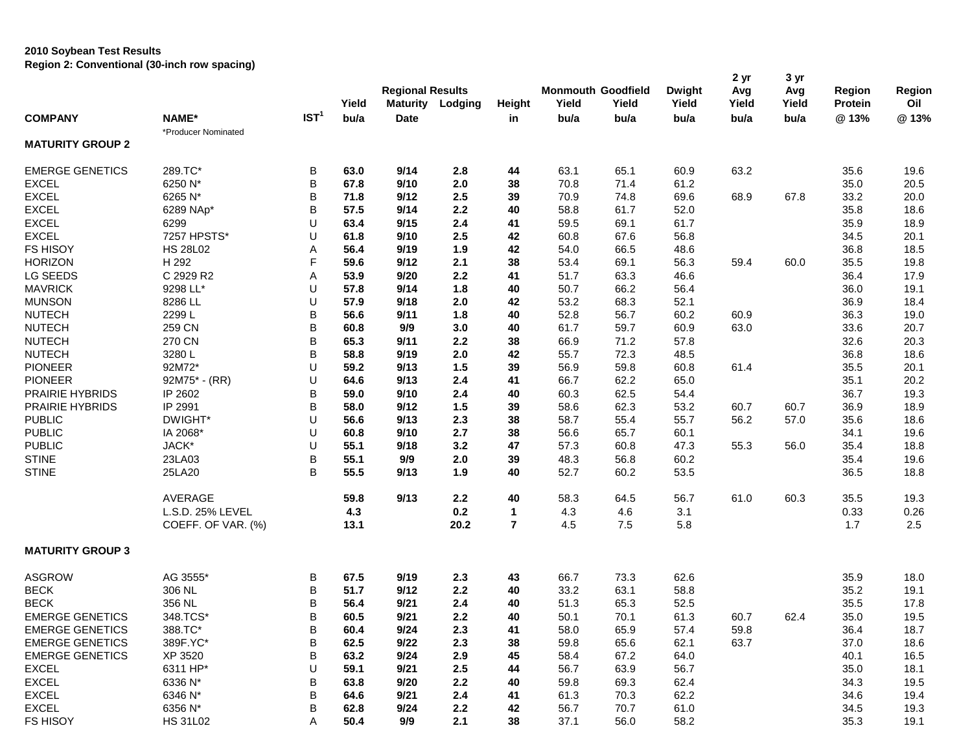## **2010 Soybean Test Results Region 2: Conventional (30-inch row spacing)**

| *Producer Nominated<br><b>MATURITY GROUP 2</b><br>289.TC*<br>В<br>65.1<br>63.2<br><b>EMERGE GENETICS</b><br>63.0<br>9/14<br>2.8<br>44<br>63.1<br>60.9<br>35.6<br>B<br><b>EXCEL</b><br>6250 N*<br>67.8<br>9/10<br>38<br>70.8<br>71.4<br>61.2<br>35.0<br>20.5<br>2.0<br><b>EXCEL</b><br>B<br>6265 N*<br>2.5<br>33.2<br>20.0<br>71.8<br>9/12<br>39<br>70.9<br>74.8<br>69.6<br>68.9<br>67.8<br>B<br><b>EXCEL</b><br>57.5<br>9/14<br>2.2<br>58.8<br>61.7<br>52.0<br>35.8<br>18.6<br>6289 NAp*<br>40<br><b>EXCEL</b><br>U<br>9/15<br>2.4<br>59.5<br>61.7<br>35.9<br>18.9<br>6299<br>63.4<br>41<br>69.1<br><b>EXCEL</b><br>7257 HPSTS*<br>U<br>2.5<br>60.8<br>20.1<br>61.8<br>9/10<br>42<br>67.6<br>56.8<br>34.5<br><b>FS HISOY</b><br><b>HS 28L02</b><br>42<br>36.8<br>18.5<br>Α<br>56.4<br>9/19<br>1.9<br>54.0<br>66.5<br>48.6<br>F<br><b>HORIZON</b><br>H 292<br>60.0<br>19.8<br>59.6<br>9/12<br>2.1<br>38<br>53.4<br>69.1<br>56.3<br>59.4<br>35.5<br>LG SEEDS<br>C 2929 R2<br>2.2<br>51.7<br>63.3<br>36.4<br>17.9<br>Α<br>53.9<br>9/20<br>41<br>46.6<br><b>MAVRICK</b><br>9298 LL*<br>U<br>57.8<br>1.8<br>50.7<br>66.2<br>56.4<br>36.0<br>19.1<br>9/14<br>40<br><b>MUNSON</b><br>U<br>8286 LL<br>57.9<br>53.2<br>18.4<br>9/18<br>2.0<br>42<br>68.3<br>52.1<br>36.9<br><b>NUTECH</b><br>2299L<br>B<br>19.0<br>56.6<br>9/11<br>1.8<br>40<br>52.8<br>56.7<br>60.2<br>60.9<br>36.3<br>B<br>259 CN<br>63.0<br>20.7<br><b>NUTECH</b><br>60.8<br>9/9<br>3.0<br>40<br>61.7<br>59.7<br>60.9<br>33.6<br>B<br>270 CN<br>65.3<br>66.9<br>71.2<br>32.6<br>20.3<br><b>NUTECH</b><br>9/11<br>2.2<br>38<br>57.8<br>B<br><b>NUTECH</b><br>3280L<br>58.8<br>2.0<br>42<br>55.7<br>72.3<br>36.8<br>18.6<br>9/19<br>48.5<br><b>PIONEER</b><br>92M72*<br>U<br>59.2<br>39<br>56.9<br>59.8<br>61.4<br>35.5<br>20.1<br>9/13<br>1.5<br>60.8<br>U<br><b>PIONEER</b><br>$92M75$ * - (RR)<br>66.7<br>62.2<br>35.1<br>64.6<br>9/13<br>2.4<br>41<br>65.0<br>B<br>PRAIRIE HYBRIDS<br>62.5<br>36.7<br>IP 2602<br>59.0<br>9/10<br>2.4<br>40<br>60.3<br>54.4<br>B<br><b>PRAIRIE HYBRIDS</b><br>IP 2991<br>1.5<br>58.6<br>36.9<br>18.9<br>58.0<br>9/12<br>39<br>62.3<br>53.2<br>60.7<br>60.7<br>U<br><b>PUBLIC</b><br>DWIGHT*<br>2.3<br>58.7<br>56.2<br>57.0<br>35.6<br>56.6<br>9/13<br>38<br>55.4<br>55.7<br><b>PUBLIC</b><br>U<br>IA 2068*<br>60.8<br>9/10<br>2.7<br>38<br>56.6<br>65.7<br>60.1<br>34.1<br>U<br><b>PUBLIC</b><br>JACK*<br>55.1<br>9/18<br>3.2<br>47<br>57.3<br>60.8<br>47.3<br>55.3<br>56.0<br>35.4<br>B<br><b>STINE</b><br>55.1<br>9/9<br>2.0<br>39<br>35.4<br>23LA03<br>48.3<br>56.8<br>60.2<br>B<br><b>STINE</b><br>25LA20<br>55.5<br>52.7<br>9/13<br>1.9<br>40<br>60.2<br>53.5<br>36.5<br>AVERAGE<br>59.8<br>9/13<br>2.2<br>40<br>64.5<br>56.7<br>61.0<br>60.3<br>35.5<br>58.3<br>19.3<br>L.S.D. 25% LEVEL<br>4.3<br>0.2<br>4.6<br>3.1<br>0.33<br>0.26<br>1<br>4.3<br>$\overline{7}$<br>13.1<br>20.2<br>4.5<br>7.5<br>5.8<br>1.7<br>2.5<br>COEFF. OF VAR. (%)<br><b>MATURITY GROUP 3</b><br>AG 3555*<br>62.6<br><b>ASGROW</b><br>В<br>67.5<br>9/19<br>2.3<br>43<br>66.7<br>73.3<br>35.9<br>18.0<br>B<br><b>BECK</b><br>306 NL<br>51.7<br>2.2<br>33.2<br>63.1<br>58.8<br>35.2<br>9/12<br>40<br>19.1<br>B<br><b>BECK</b><br>356 NL<br>56.4<br>9/21<br>2.4<br>51.3<br>65.3<br>52.5<br>35.5<br>17.8<br>40<br>B<br><b>EMERGE GENETICS</b><br>348.TCS*<br>60.5<br>2.2<br>35.0<br>19.5<br>9/21<br>50.1<br>70.1<br>61.3<br>60.7<br>62.4<br>40<br>388.TC*<br>B<br><b>EMERGE GENETICS</b><br>60.4<br>9/24<br>2.3<br>41<br>58.0<br>65.9<br>57.4<br>36.4<br>18.7<br>59.8 | <b>COMPANY</b> | NAME* | IST <sup>1</sup> | Yield<br>bu/a | <b>Regional Results</b><br><b>Maturity</b><br><b>Date</b> | Lodging | Height<br>in | <b>Monmouth Goodfield</b><br>Yield<br>bu/a | Yield<br>bu/a | <b>Dwight</b><br>Yield<br>bu/a | 2 yr<br>Avg<br>Yield<br>bu/a | 3 yr<br>Avg<br>Yield<br>bu/a | <b>Region</b><br>Protein<br>@13% | Region<br>Oil<br>@13% |
|---------------------------------------------------------------------------------------------------------------------------------------------------------------------------------------------------------------------------------------------------------------------------------------------------------------------------------------------------------------------------------------------------------------------------------------------------------------------------------------------------------------------------------------------------------------------------------------------------------------------------------------------------------------------------------------------------------------------------------------------------------------------------------------------------------------------------------------------------------------------------------------------------------------------------------------------------------------------------------------------------------------------------------------------------------------------------------------------------------------------------------------------------------------------------------------------------------------------------------------------------------------------------------------------------------------------------------------------------------------------------------------------------------------------------------------------------------------------------------------------------------------------------------------------------------------------------------------------------------------------------------------------------------------------------------------------------------------------------------------------------------------------------------------------------------------------------------------------------------------------------------------------------------------------------------------------------------------------------------------------------------------------------------------------------------------------------------------------------------------------------------------------------------------------------------------------------------------------------------------------------------------------------------------------------------------------------------------------------------------------------------------------------------------------------------------------------------------------------------------------------------------------------------------------------------------------------------------------------------------------------------------------------------------------------------------------------------------------------------------------------------------------------------------------------------------------------------------------------------------------------------------------------------------------------------------------------------------------------------------------------------------------------------------------------------------------------------------------------------------------------------------------------------------------------------------------------------------------------------------------------------------------------------------------------------------------------------------------------------------------------------------------------------------------------------------------------------------------------------------------------------------------------------------------|----------------|-------|------------------|---------------|-----------------------------------------------------------|---------|--------------|--------------------------------------------|---------------|--------------------------------|------------------------------|------------------------------|----------------------------------|-----------------------|
|                                                                                                                                                                                                                                                                                                                                                                                                                                                                                                                                                                                                                                                                                                                                                                                                                                                                                                                                                                                                                                                                                                                                                                                                                                                                                                                                                                                                                                                                                                                                                                                                                                                                                                                                                                                                                                                                                                                                                                                                                                                                                                                                                                                                                                                                                                                                                                                                                                                                                                                                                                                                                                                                                                                                                                                                                                                                                                                                                                                                                                                                                                                                                                                                                                                                                                                                                                                                                                                                                                                                             |                |       |                  |               |                                                           |         |              |                                            |               |                                |                              |                              |                                  |                       |
|                                                                                                                                                                                                                                                                                                                                                                                                                                                                                                                                                                                                                                                                                                                                                                                                                                                                                                                                                                                                                                                                                                                                                                                                                                                                                                                                                                                                                                                                                                                                                                                                                                                                                                                                                                                                                                                                                                                                                                                                                                                                                                                                                                                                                                                                                                                                                                                                                                                                                                                                                                                                                                                                                                                                                                                                                                                                                                                                                                                                                                                                                                                                                                                                                                                                                                                                                                                                                                                                                                                                             |                |       |                  |               |                                                           |         |              |                                            |               |                                |                              |                              |                                  |                       |
|                                                                                                                                                                                                                                                                                                                                                                                                                                                                                                                                                                                                                                                                                                                                                                                                                                                                                                                                                                                                                                                                                                                                                                                                                                                                                                                                                                                                                                                                                                                                                                                                                                                                                                                                                                                                                                                                                                                                                                                                                                                                                                                                                                                                                                                                                                                                                                                                                                                                                                                                                                                                                                                                                                                                                                                                                                                                                                                                                                                                                                                                                                                                                                                                                                                                                                                                                                                                                                                                                                                                             |                |       |                  |               |                                                           |         |              |                                            |               |                                |                              |                              |                                  | 19.6                  |
|                                                                                                                                                                                                                                                                                                                                                                                                                                                                                                                                                                                                                                                                                                                                                                                                                                                                                                                                                                                                                                                                                                                                                                                                                                                                                                                                                                                                                                                                                                                                                                                                                                                                                                                                                                                                                                                                                                                                                                                                                                                                                                                                                                                                                                                                                                                                                                                                                                                                                                                                                                                                                                                                                                                                                                                                                                                                                                                                                                                                                                                                                                                                                                                                                                                                                                                                                                                                                                                                                                                                             |                |       |                  |               |                                                           |         |              |                                            |               |                                |                              |                              |                                  |                       |
|                                                                                                                                                                                                                                                                                                                                                                                                                                                                                                                                                                                                                                                                                                                                                                                                                                                                                                                                                                                                                                                                                                                                                                                                                                                                                                                                                                                                                                                                                                                                                                                                                                                                                                                                                                                                                                                                                                                                                                                                                                                                                                                                                                                                                                                                                                                                                                                                                                                                                                                                                                                                                                                                                                                                                                                                                                                                                                                                                                                                                                                                                                                                                                                                                                                                                                                                                                                                                                                                                                                                             |                |       |                  |               |                                                           |         |              |                                            |               |                                |                              |                              |                                  |                       |
|                                                                                                                                                                                                                                                                                                                                                                                                                                                                                                                                                                                                                                                                                                                                                                                                                                                                                                                                                                                                                                                                                                                                                                                                                                                                                                                                                                                                                                                                                                                                                                                                                                                                                                                                                                                                                                                                                                                                                                                                                                                                                                                                                                                                                                                                                                                                                                                                                                                                                                                                                                                                                                                                                                                                                                                                                                                                                                                                                                                                                                                                                                                                                                                                                                                                                                                                                                                                                                                                                                                                             |                |       |                  |               |                                                           |         |              |                                            |               |                                |                              |                              |                                  |                       |
|                                                                                                                                                                                                                                                                                                                                                                                                                                                                                                                                                                                                                                                                                                                                                                                                                                                                                                                                                                                                                                                                                                                                                                                                                                                                                                                                                                                                                                                                                                                                                                                                                                                                                                                                                                                                                                                                                                                                                                                                                                                                                                                                                                                                                                                                                                                                                                                                                                                                                                                                                                                                                                                                                                                                                                                                                                                                                                                                                                                                                                                                                                                                                                                                                                                                                                                                                                                                                                                                                                                                             |                |       |                  |               |                                                           |         |              |                                            |               |                                |                              |                              |                                  |                       |
|                                                                                                                                                                                                                                                                                                                                                                                                                                                                                                                                                                                                                                                                                                                                                                                                                                                                                                                                                                                                                                                                                                                                                                                                                                                                                                                                                                                                                                                                                                                                                                                                                                                                                                                                                                                                                                                                                                                                                                                                                                                                                                                                                                                                                                                                                                                                                                                                                                                                                                                                                                                                                                                                                                                                                                                                                                                                                                                                                                                                                                                                                                                                                                                                                                                                                                                                                                                                                                                                                                                                             |                |       |                  |               |                                                           |         |              |                                            |               |                                |                              |                              |                                  |                       |
|                                                                                                                                                                                                                                                                                                                                                                                                                                                                                                                                                                                                                                                                                                                                                                                                                                                                                                                                                                                                                                                                                                                                                                                                                                                                                                                                                                                                                                                                                                                                                                                                                                                                                                                                                                                                                                                                                                                                                                                                                                                                                                                                                                                                                                                                                                                                                                                                                                                                                                                                                                                                                                                                                                                                                                                                                                                                                                                                                                                                                                                                                                                                                                                                                                                                                                                                                                                                                                                                                                                                             |                |       |                  |               |                                                           |         |              |                                            |               |                                |                              |                              |                                  |                       |
|                                                                                                                                                                                                                                                                                                                                                                                                                                                                                                                                                                                                                                                                                                                                                                                                                                                                                                                                                                                                                                                                                                                                                                                                                                                                                                                                                                                                                                                                                                                                                                                                                                                                                                                                                                                                                                                                                                                                                                                                                                                                                                                                                                                                                                                                                                                                                                                                                                                                                                                                                                                                                                                                                                                                                                                                                                                                                                                                                                                                                                                                                                                                                                                                                                                                                                                                                                                                                                                                                                                                             |                |       |                  |               |                                                           |         |              |                                            |               |                                |                              |                              |                                  |                       |
|                                                                                                                                                                                                                                                                                                                                                                                                                                                                                                                                                                                                                                                                                                                                                                                                                                                                                                                                                                                                                                                                                                                                                                                                                                                                                                                                                                                                                                                                                                                                                                                                                                                                                                                                                                                                                                                                                                                                                                                                                                                                                                                                                                                                                                                                                                                                                                                                                                                                                                                                                                                                                                                                                                                                                                                                                                                                                                                                                                                                                                                                                                                                                                                                                                                                                                                                                                                                                                                                                                                                             |                |       |                  |               |                                                           |         |              |                                            |               |                                |                              |                              |                                  |                       |
|                                                                                                                                                                                                                                                                                                                                                                                                                                                                                                                                                                                                                                                                                                                                                                                                                                                                                                                                                                                                                                                                                                                                                                                                                                                                                                                                                                                                                                                                                                                                                                                                                                                                                                                                                                                                                                                                                                                                                                                                                                                                                                                                                                                                                                                                                                                                                                                                                                                                                                                                                                                                                                                                                                                                                                                                                                                                                                                                                                                                                                                                                                                                                                                                                                                                                                                                                                                                                                                                                                                                             |                |       |                  |               |                                                           |         |              |                                            |               |                                |                              |                              |                                  |                       |
|                                                                                                                                                                                                                                                                                                                                                                                                                                                                                                                                                                                                                                                                                                                                                                                                                                                                                                                                                                                                                                                                                                                                                                                                                                                                                                                                                                                                                                                                                                                                                                                                                                                                                                                                                                                                                                                                                                                                                                                                                                                                                                                                                                                                                                                                                                                                                                                                                                                                                                                                                                                                                                                                                                                                                                                                                                                                                                                                                                                                                                                                                                                                                                                                                                                                                                                                                                                                                                                                                                                                             |                |       |                  |               |                                                           |         |              |                                            |               |                                |                              |                              |                                  |                       |
|                                                                                                                                                                                                                                                                                                                                                                                                                                                                                                                                                                                                                                                                                                                                                                                                                                                                                                                                                                                                                                                                                                                                                                                                                                                                                                                                                                                                                                                                                                                                                                                                                                                                                                                                                                                                                                                                                                                                                                                                                                                                                                                                                                                                                                                                                                                                                                                                                                                                                                                                                                                                                                                                                                                                                                                                                                                                                                                                                                                                                                                                                                                                                                                                                                                                                                                                                                                                                                                                                                                                             |                |       |                  |               |                                                           |         |              |                                            |               |                                |                              |                              |                                  |                       |
|                                                                                                                                                                                                                                                                                                                                                                                                                                                                                                                                                                                                                                                                                                                                                                                                                                                                                                                                                                                                                                                                                                                                                                                                                                                                                                                                                                                                                                                                                                                                                                                                                                                                                                                                                                                                                                                                                                                                                                                                                                                                                                                                                                                                                                                                                                                                                                                                                                                                                                                                                                                                                                                                                                                                                                                                                                                                                                                                                                                                                                                                                                                                                                                                                                                                                                                                                                                                                                                                                                                                             |                |       |                  |               |                                                           |         |              |                                            |               |                                |                              |                              |                                  |                       |
|                                                                                                                                                                                                                                                                                                                                                                                                                                                                                                                                                                                                                                                                                                                                                                                                                                                                                                                                                                                                                                                                                                                                                                                                                                                                                                                                                                                                                                                                                                                                                                                                                                                                                                                                                                                                                                                                                                                                                                                                                                                                                                                                                                                                                                                                                                                                                                                                                                                                                                                                                                                                                                                                                                                                                                                                                                                                                                                                                                                                                                                                                                                                                                                                                                                                                                                                                                                                                                                                                                                                             |                |       |                  |               |                                                           |         |              |                                            |               |                                |                              |                              |                                  |                       |
|                                                                                                                                                                                                                                                                                                                                                                                                                                                                                                                                                                                                                                                                                                                                                                                                                                                                                                                                                                                                                                                                                                                                                                                                                                                                                                                                                                                                                                                                                                                                                                                                                                                                                                                                                                                                                                                                                                                                                                                                                                                                                                                                                                                                                                                                                                                                                                                                                                                                                                                                                                                                                                                                                                                                                                                                                                                                                                                                                                                                                                                                                                                                                                                                                                                                                                                                                                                                                                                                                                                                             |                |       |                  |               |                                                           |         |              |                                            |               |                                |                              |                              |                                  |                       |
|                                                                                                                                                                                                                                                                                                                                                                                                                                                                                                                                                                                                                                                                                                                                                                                                                                                                                                                                                                                                                                                                                                                                                                                                                                                                                                                                                                                                                                                                                                                                                                                                                                                                                                                                                                                                                                                                                                                                                                                                                                                                                                                                                                                                                                                                                                                                                                                                                                                                                                                                                                                                                                                                                                                                                                                                                                                                                                                                                                                                                                                                                                                                                                                                                                                                                                                                                                                                                                                                                                                                             |                |       |                  |               |                                                           |         |              |                                            |               |                                |                              |                              |                                  |                       |
|                                                                                                                                                                                                                                                                                                                                                                                                                                                                                                                                                                                                                                                                                                                                                                                                                                                                                                                                                                                                                                                                                                                                                                                                                                                                                                                                                                                                                                                                                                                                                                                                                                                                                                                                                                                                                                                                                                                                                                                                                                                                                                                                                                                                                                                                                                                                                                                                                                                                                                                                                                                                                                                                                                                                                                                                                                                                                                                                                                                                                                                                                                                                                                                                                                                                                                                                                                                                                                                                                                                                             |                |       |                  |               |                                                           |         |              |                                            |               |                                |                              |                              |                                  | 20.2                  |
|                                                                                                                                                                                                                                                                                                                                                                                                                                                                                                                                                                                                                                                                                                                                                                                                                                                                                                                                                                                                                                                                                                                                                                                                                                                                                                                                                                                                                                                                                                                                                                                                                                                                                                                                                                                                                                                                                                                                                                                                                                                                                                                                                                                                                                                                                                                                                                                                                                                                                                                                                                                                                                                                                                                                                                                                                                                                                                                                                                                                                                                                                                                                                                                                                                                                                                                                                                                                                                                                                                                                             |                |       |                  |               |                                                           |         |              |                                            |               |                                |                              |                              |                                  | 19.3                  |
|                                                                                                                                                                                                                                                                                                                                                                                                                                                                                                                                                                                                                                                                                                                                                                                                                                                                                                                                                                                                                                                                                                                                                                                                                                                                                                                                                                                                                                                                                                                                                                                                                                                                                                                                                                                                                                                                                                                                                                                                                                                                                                                                                                                                                                                                                                                                                                                                                                                                                                                                                                                                                                                                                                                                                                                                                                                                                                                                                                                                                                                                                                                                                                                                                                                                                                                                                                                                                                                                                                                                             |                |       |                  |               |                                                           |         |              |                                            |               |                                |                              |                              |                                  |                       |
|                                                                                                                                                                                                                                                                                                                                                                                                                                                                                                                                                                                                                                                                                                                                                                                                                                                                                                                                                                                                                                                                                                                                                                                                                                                                                                                                                                                                                                                                                                                                                                                                                                                                                                                                                                                                                                                                                                                                                                                                                                                                                                                                                                                                                                                                                                                                                                                                                                                                                                                                                                                                                                                                                                                                                                                                                                                                                                                                                                                                                                                                                                                                                                                                                                                                                                                                                                                                                                                                                                                                             |                |       |                  |               |                                                           |         |              |                                            |               |                                |                              |                              |                                  | 18.6                  |
|                                                                                                                                                                                                                                                                                                                                                                                                                                                                                                                                                                                                                                                                                                                                                                                                                                                                                                                                                                                                                                                                                                                                                                                                                                                                                                                                                                                                                                                                                                                                                                                                                                                                                                                                                                                                                                                                                                                                                                                                                                                                                                                                                                                                                                                                                                                                                                                                                                                                                                                                                                                                                                                                                                                                                                                                                                                                                                                                                                                                                                                                                                                                                                                                                                                                                                                                                                                                                                                                                                                                             |                |       |                  |               |                                                           |         |              |                                            |               |                                |                              |                              |                                  | 19.6                  |
|                                                                                                                                                                                                                                                                                                                                                                                                                                                                                                                                                                                                                                                                                                                                                                                                                                                                                                                                                                                                                                                                                                                                                                                                                                                                                                                                                                                                                                                                                                                                                                                                                                                                                                                                                                                                                                                                                                                                                                                                                                                                                                                                                                                                                                                                                                                                                                                                                                                                                                                                                                                                                                                                                                                                                                                                                                                                                                                                                                                                                                                                                                                                                                                                                                                                                                                                                                                                                                                                                                                                             |                |       |                  |               |                                                           |         |              |                                            |               |                                |                              |                              |                                  | 18.8                  |
|                                                                                                                                                                                                                                                                                                                                                                                                                                                                                                                                                                                                                                                                                                                                                                                                                                                                                                                                                                                                                                                                                                                                                                                                                                                                                                                                                                                                                                                                                                                                                                                                                                                                                                                                                                                                                                                                                                                                                                                                                                                                                                                                                                                                                                                                                                                                                                                                                                                                                                                                                                                                                                                                                                                                                                                                                                                                                                                                                                                                                                                                                                                                                                                                                                                                                                                                                                                                                                                                                                                                             |                |       |                  |               |                                                           |         |              |                                            |               |                                |                              |                              |                                  | 19.6                  |
|                                                                                                                                                                                                                                                                                                                                                                                                                                                                                                                                                                                                                                                                                                                                                                                                                                                                                                                                                                                                                                                                                                                                                                                                                                                                                                                                                                                                                                                                                                                                                                                                                                                                                                                                                                                                                                                                                                                                                                                                                                                                                                                                                                                                                                                                                                                                                                                                                                                                                                                                                                                                                                                                                                                                                                                                                                                                                                                                                                                                                                                                                                                                                                                                                                                                                                                                                                                                                                                                                                                                             |                |       |                  |               |                                                           |         |              |                                            |               |                                |                              |                              |                                  | 18.8                  |
|                                                                                                                                                                                                                                                                                                                                                                                                                                                                                                                                                                                                                                                                                                                                                                                                                                                                                                                                                                                                                                                                                                                                                                                                                                                                                                                                                                                                                                                                                                                                                                                                                                                                                                                                                                                                                                                                                                                                                                                                                                                                                                                                                                                                                                                                                                                                                                                                                                                                                                                                                                                                                                                                                                                                                                                                                                                                                                                                                                                                                                                                                                                                                                                                                                                                                                                                                                                                                                                                                                                                             |                |       |                  |               |                                                           |         |              |                                            |               |                                |                              |                              |                                  |                       |
|                                                                                                                                                                                                                                                                                                                                                                                                                                                                                                                                                                                                                                                                                                                                                                                                                                                                                                                                                                                                                                                                                                                                                                                                                                                                                                                                                                                                                                                                                                                                                                                                                                                                                                                                                                                                                                                                                                                                                                                                                                                                                                                                                                                                                                                                                                                                                                                                                                                                                                                                                                                                                                                                                                                                                                                                                                                                                                                                                                                                                                                                                                                                                                                                                                                                                                                                                                                                                                                                                                                                             |                |       |                  |               |                                                           |         |              |                                            |               |                                |                              |                              |                                  |                       |
|                                                                                                                                                                                                                                                                                                                                                                                                                                                                                                                                                                                                                                                                                                                                                                                                                                                                                                                                                                                                                                                                                                                                                                                                                                                                                                                                                                                                                                                                                                                                                                                                                                                                                                                                                                                                                                                                                                                                                                                                                                                                                                                                                                                                                                                                                                                                                                                                                                                                                                                                                                                                                                                                                                                                                                                                                                                                                                                                                                                                                                                                                                                                                                                                                                                                                                                                                                                                                                                                                                                                             |                |       |                  |               |                                                           |         |              |                                            |               |                                |                              |                              |                                  |                       |
|                                                                                                                                                                                                                                                                                                                                                                                                                                                                                                                                                                                                                                                                                                                                                                                                                                                                                                                                                                                                                                                                                                                                                                                                                                                                                                                                                                                                                                                                                                                                                                                                                                                                                                                                                                                                                                                                                                                                                                                                                                                                                                                                                                                                                                                                                                                                                                                                                                                                                                                                                                                                                                                                                                                                                                                                                                                                                                                                                                                                                                                                                                                                                                                                                                                                                                                                                                                                                                                                                                                                             |                |       |                  |               |                                                           |         |              |                                            |               |                                |                              |                              |                                  |                       |
|                                                                                                                                                                                                                                                                                                                                                                                                                                                                                                                                                                                                                                                                                                                                                                                                                                                                                                                                                                                                                                                                                                                                                                                                                                                                                                                                                                                                                                                                                                                                                                                                                                                                                                                                                                                                                                                                                                                                                                                                                                                                                                                                                                                                                                                                                                                                                                                                                                                                                                                                                                                                                                                                                                                                                                                                                                                                                                                                                                                                                                                                                                                                                                                                                                                                                                                                                                                                                                                                                                                                             |                |       |                  |               |                                                           |         |              |                                            |               |                                |                              |                              |                                  |                       |
|                                                                                                                                                                                                                                                                                                                                                                                                                                                                                                                                                                                                                                                                                                                                                                                                                                                                                                                                                                                                                                                                                                                                                                                                                                                                                                                                                                                                                                                                                                                                                                                                                                                                                                                                                                                                                                                                                                                                                                                                                                                                                                                                                                                                                                                                                                                                                                                                                                                                                                                                                                                                                                                                                                                                                                                                                                                                                                                                                                                                                                                                                                                                                                                                                                                                                                                                                                                                                                                                                                                                             |                |       |                  |               |                                                           |         |              |                                            |               |                                |                              |                              |                                  |                       |
|                                                                                                                                                                                                                                                                                                                                                                                                                                                                                                                                                                                                                                                                                                                                                                                                                                                                                                                                                                                                                                                                                                                                                                                                                                                                                                                                                                                                                                                                                                                                                                                                                                                                                                                                                                                                                                                                                                                                                                                                                                                                                                                                                                                                                                                                                                                                                                                                                                                                                                                                                                                                                                                                                                                                                                                                                                                                                                                                                                                                                                                                                                                                                                                                                                                                                                                                                                                                                                                                                                                                             |                |       |                  |               |                                                           |         |              |                                            |               |                                |                              |                              |                                  |                       |
|                                                                                                                                                                                                                                                                                                                                                                                                                                                                                                                                                                                                                                                                                                                                                                                                                                                                                                                                                                                                                                                                                                                                                                                                                                                                                                                                                                                                                                                                                                                                                                                                                                                                                                                                                                                                                                                                                                                                                                                                                                                                                                                                                                                                                                                                                                                                                                                                                                                                                                                                                                                                                                                                                                                                                                                                                                                                                                                                                                                                                                                                                                                                                                                                                                                                                                                                                                                                                                                                                                                                             |                |       |                  |               |                                                           |         |              |                                            |               |                                |                              |                              |                                  |                       |
|                                                                                                                                                                                                                                                                                                                                                                                                                                                                                                                                                                                                                                                                                                                                                                                                                                                                                                                                                                                                                                                                                                                                                                                                                                                                                                                                                                                                                                                                                                                                                                                                                                                                                                                                                                                                                                                                                                                                                                                                                                                                                                                                                                                                                                                                                                                                                                                                                                                                                                                                                                                                                                                                                                                                                                                                                                                                                                                                                                                                                                                                                                                                                                                                                                                                                                                                                                                                                                                                                                                                             |                |       |                  |               |                                                           |         |              |                                            |               |                                |                              |                              |                                  |                       |
| B<br><b>EMERGE GENETICS</b><br>389F.YC*<br>2.3<br>63.7<br>37.0<br>62.5<br>9/22<br>59.8<br>65.6<br>62.1<br>38                                                                                                                                                                                                                                                                                                                                                                                                                                                                                                                                                                                                                                                                                                                                                                                                                                                                                                                                                                                                                                                                                                                                                                                                                                                                                                                                                                                                                                                                                                                                                                                                                                                                                                                                                                                                                                                                                                                                                                                                                                                                                                                                                                                                                                                                                                                                                                                                                                                                                                                                                                                                                                                                                                                                                                                                                                                                                                                                                                                                                                                                                                                                                                                                                                                                                                                                                                                                                                |                |       |                  |               |                                                           |         |              |                                            |               |                                |                              |                              |                                  | 18.6                  |
| <b>EMERGE GENETICS</b><br>В<br>2.9<br>XP 3520<br>63.2<br>9/24<br>45<br>58.4<br>67.2<br>64.0<br>40.1                                                                                                                                                                                                                                                                                                                                                                                                                                                                                                                                                                                                                                                                                                                                                                                                                                                                                                                                                                                                                                                                                                                                                                                                                                                                                                                                                                                                                                                                                                                                                                                                                                                                                                                                                                                                                                                                                                                                                                                                                                                                                                                                                                                                                                                                                                                                                                                                                                                                                                                                                                                                                                                                                                                                                                                                                                                                                                                                                                                                                                                                                                                                                                                                                                                                                                                                                                                                                                         |                |       |                  |               |                                                           |         |              |                                            |               |                                |                              |                              |                                  | 16.5                  |
| U<br><b>EXCEL</b><br>6311 HP*<br>59.1<br>9/21<br>2.5<br>56.7<br>63.9<br>56.7<br>35.0<br>44                                                                                                                                                                                                                                                                                                                                                                                                                                                                                                                                                                                                                                                                                                                                                                                                                                                                                                                                                                                                                                                                                                                                                                                                                                                                                                                                                                                                                                                                                                                                                                                                                                                                                                                                                                                                                                                                                                                                                                                                                                                                                                                                                                                                                                                                                                                                                                                                                                                                                                                                                                                                                                                                                                                                                                                                                                                                                                                                                                                                                                                                                                                                                                                                                                                                                                                                                                                                                                                  |                |       |                  |               |                                                           |         |              |                                            |               |                                |                              |                              |                                  | 18.1                  |
| <b>EXCEL</b><br>В<br>6336 N*<br>9/20<br>2.2<br>59.8<br>69.3<br>62.4<br>34.3<br>63.8<br>40                                                                                                                                                                                                                                                                                                                                                                                                                                                                                                                                                                                                                                                                                                                                                                                                                                                                                                                                                                                                                                                                                                                                                                                                                                                                                                                                                                                                                                                                                                                                                                                                                                                                                                                                                                                                                                                                                                                                                                                                                                                                                                                                                                                                                                                                                                                                                                                                                                                                                                                                                                                                                                                                                                                                                                                                                                                                                                                                                                                                                                                                                                                                                                                                                                                                                                                                                                                                                                                   |                |       |                  |               |                                                           |         |              |                                            |               |                                |                              |                              |                                  | 19.5                  |
| <b>EXCEL</b><br>В<br>6346 N*<br>64.6<br>2.4<br>61.3<br>70.3<br>62.2<br>9/21<br>41<br>34.6                                                                                                                                                                                                                                                                                                                                                                                                                                                                                                                                                                                                                                                                                                                                                                                                                                                                                                                                                                                                                                                                                                                                                                                                                                                                                                                                                                                                                                                                                                                                                                                                                                                                                                                                                                                                                                                                                                                                                                                                                                                                                                                                                                                                                                                                                                                                                                                                                                                                                                                                                                                                                                                                                                                                                                                                                                                                                                                                                                                                                                                                                                                                                                                                                                                                                                                                                                                                                                                   |                |       |                  |               |                                                           |         |              |                                            |               |                                |                              |                              |                                  | 19.4                  |
| <b>EXCEL</b><br>6356 N*<br>В<br>62.8<br>$2.2\,$<br>56.7<br>9/24<br>42<br>70.7<br>61.0<br>34.5                                                                                                                                                                                                                                                                                                                                                                                                                                                                                                                                                                                                                                                                                                                                                                                                                                                                                                                                                                                                                                                                                                                                                                                                                                                                                                                                                                                                                                                                                                                                                                                                                                                                                                                                                                                                                                                                                                                                                                                                                                                                                                                                                                                                                                                                                                                                                                                                                                                                                                                                                                                                                                                                                                                                                                                                                                                                                                                                                                                                                                                                                                                                                                                                                                                                                                                                                                                                                                               |                |       |                  |               |                                                           |         |              |                                            |               |                                |                              |                              |                                  | 19.3                  |
| FS HISOY<br><b>HS 31L02</b><br>50.4<br>9/9<br>2.1<br>38<br>35.3<br>37.1<br>56.0<br>58.2<br>A                                                                                                                                                                                                                                                                                                                                                                                                                                                                                                                                                                                                                                                                                                                                                                                                                                                                                                                                                                                                                                                                                                                                                                                                                                                                                                                                                                                                                                                                                                                                                                                                                                                                                                                                                                                                                                                                                                                                                                                                                                                                                                                                                                                                                                                                                                                                                                                                                                                                                                                                                                                                                                                                                                                                                                                                                                                                                                                                                                                                                                                                                                                                                                                                                                                                                                                                                                                                                                                |                |       |                  |               |                                                           |         |              |                                            |               |                                |                              |                              |                                  | 19.1                  |